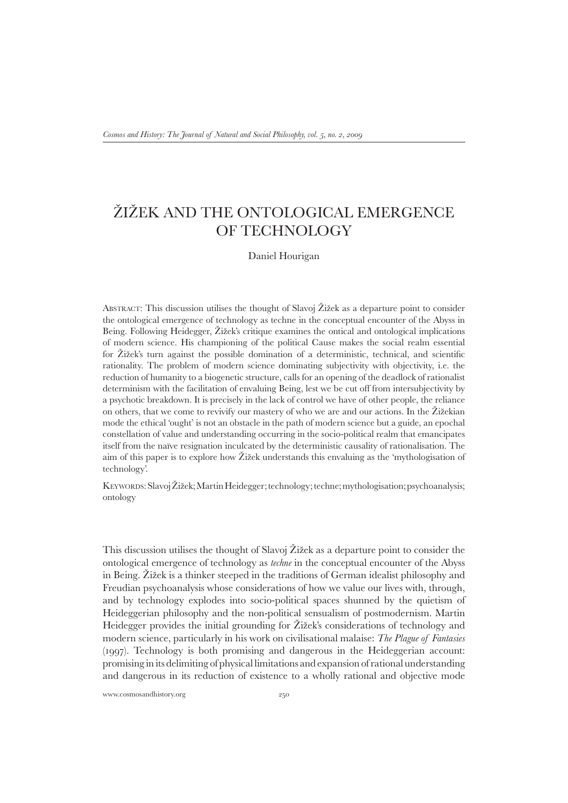# Žižek and the Ontological Emergence of Technology

## Daniel Hourigan

Abstract: This discussion utilises the thought of Slavoj Žižek as a departure point to consider the ontological emergence of technology as techne in the conceptual encounter of the Abyss in Being. Following Heidegger, Žižek's critique examines the ontical and ontological implications of modern science. His championing of the political Cause makes the social realm essential for Žižek's turn against the possible domination of a deterministic, technical, and scientific rationality. The problem of modern science dominating subjectivity with objectivity, i.e. the reduction of humanity to a biogenetic structure, calls for an opening of the deadlock of rationalist determinism with the facilitation of envaluing Being, lest we be cut off from intersubjectivity by a psychotic breakdown. It is precisely in the lack of control we have of other people, the reliance on others, that we come to revivify our mastery of who we are and our actions. In the Žižekian mode the ethical 'ought' is not an obstacle in the path of modern science but a guide, an epochal constellation of value and understanding occurring in the socio-political realm that emancipates itself from the naïve resignation inculcated by the deterministic causality of rationalisation. The aim of this paper is to explore how Žižek understands this envaluing as the 'mythologisation of technology'.

Keywords: Slavoj Žižek; Martin Heidegger; technology; techne; mythologisation; psychoanalysis; ontology

This discussion utilises the thought of Slavoj Žižek as a departure point to consider the ontological emergence of technology as *techne* in the conceptual encounter of the Abyss in Being. Žižek is a thinker steeped in the traditions of German idealist philosophy and Freudian psychoanalysis whose considerations of how we value our lives with, through, and by technology explodes into socio-political spaces shunned by the quietism of Heideggerian philosophy and the non-political sensualism of postmodernism. Martin Heidegger provides the initial grounding for Žižek's considerations of technology and modern science, particularly in his work on civilisational malaise: *The Plague of Fantasies* (1997). Technology is both promising and dangerous in the Heideggerian account: promising in its delimiting of physical limitations and expansion of rational understanding and dangerous in its reduction of existence to a wholly rational and objective mode

www.cosmosandhistory.org 250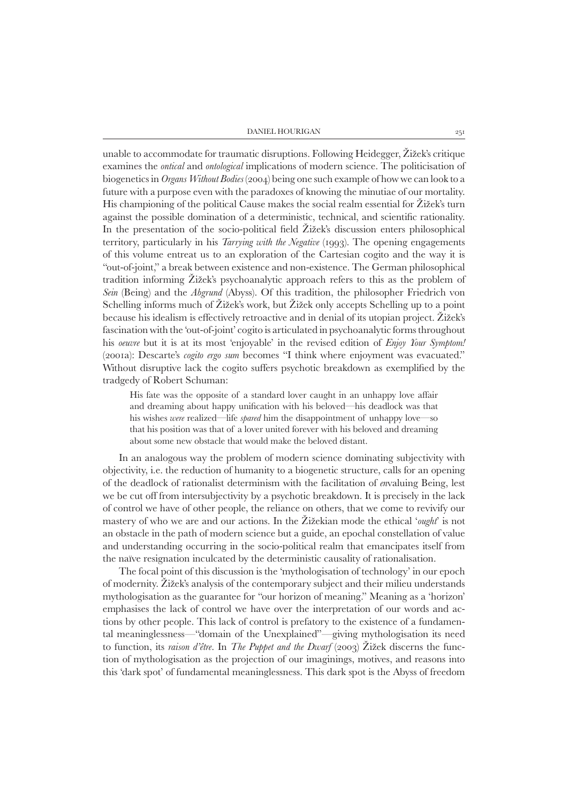#### $25^{\rm I}$  DANIEL HOURIGAN  $25^{\rm I}$

unable to accommodate for traumatic disruptions. Following Heidegger, Žižek's critique examines the *ontical* and *ontological* implications of modern science. The politicisation of biogenetics in *Organs Without Bodies* (2004) being one such example of how we can look to a future with a purpose even with the paradoxes of knowing the minutiae of our mortality. His championing of the political Cause makes the social realm essential for Žižek's turn against the possible domination of a deterministic, technical, and scientific rationality. In the presentation of the socio-political field Žižek's discussion enters philosophical territory, particularly in his *Tarrying with the Negative* (1993). The opening engagements of this volume entreat us to an exploration of the Cartesian cogito and the way it is "out-of-joint," a break between existence and non-existence. The German philosophical tradition informing Žižek's psychoanalytic approach refers to this as the problem of *Sein* (Being) and the *Abgrund* (Abyss). Of this tradition, the philosopher Friedrich von Schelling informs much of Žižek's work, but Žižek only accepts Schelling up to a point because his idealism is effectively retroactive and in denial of its utopian project. Žižek's fascination with the 'out-of-joint' cogito is articulated in psychoanalytic forms throughout his *oeuvre* but it is at its most 'enjoyable' in the revised edition of *Enjoy Your Symptom!*  (2001a): Descarte's *cogito ergo sum* becomes "I think where enjoyment was evacuated." Without disruptive lack the cogito suffers psychotic breakdown as exemplified by the tradgedy of Robert Schuman:

His fate was the opposite of a standard lover caught in an unhappy love affair and dreaming about happy unification with his beloved—his deadlock was that his wishes *were* realized—life *spared* him the disappointment of unhappy love—so that his position was that of a lover united forever with his beloved and dreaming about some new obstacle that would make the beloved distant.

In an analogous way the problem of modern science dominating subjectivity with objectivity, i.e. the reduction of humanity to a biogenetic structure, calls for an opening of the deadlock of rationalist determinism with the facilitation of *en*valuing Being, lest we be cut off from intersubjectivity by a psychotic breakdown. It is precisely in the lack of control we have of other people, the reliance on others, that we come to revivify our mastery of who we are and our actions. In the Žižekian mode the ethical '*ought*' is not an obstacle in the path of modern science but a guide, an epochal constellation of value and understanding occurring in the socio-political realm that emancipates itself from the naïve resignation inculcated by the deterministic causality of rationalisation.

The focal point of this discussion is the 'mythologisation of technology' in our epoch of modernity. Žižek's analysis of the contemporary subject and their milieu understands mythologisation as the guarantee for "our horizon of meaning." Meaning as a 'horizon' emphasises the lack of control we have over the interpretation of our words and actions by other people. This lack of control is prefatory to the existence of a fundamental meaninglessness—"domain of the Unexplained"—giving mythologisation its need to function, its *raison d'être*. In *The Puppet and the Dwarf* (2003) Žižek discerns the function of mythologisation as the projection of our imaginings, motives, and reasons into this 'dark spot' of fundamental meaninglessness. This dark spot is the Abyss of freedom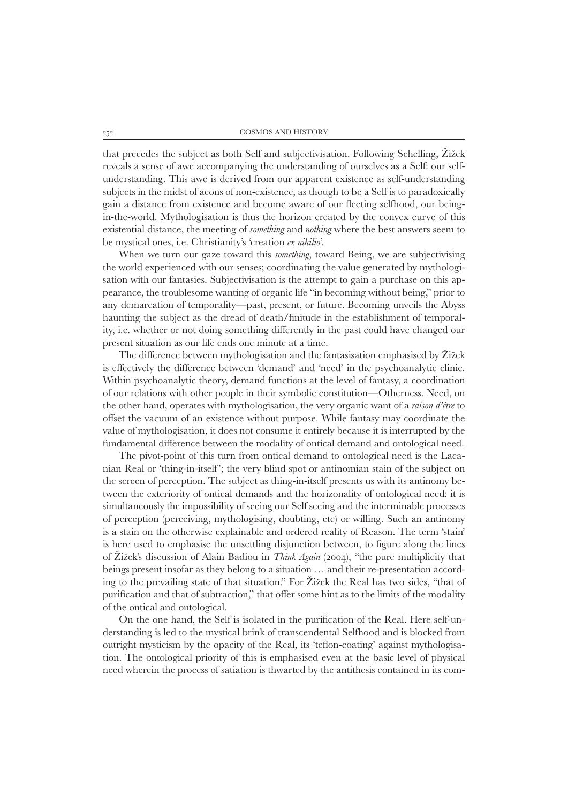that precedes the subject as both Self and subjectivisation. Following Schelling, Žižek reveals a sense of awe accompanying the understanding of ourselves as a Self: our selfunderstanding. This awe is derived from our apparent existence as self-understanding subjects in the midst of aeons of non-existence, as though to be a Self is to paradoxically gain a distance from existence and become aware of our fleeting selfhood, our beingin-the-world. Mythologisation is thus the horizon created by the convex curve of this existential distance, the meeting of *something* and *nothing* where the best answers seem to be mystical ones, i.e. Christianity's 'creation *ex nihilio*'.

When we turn our gaze toward this *something*, toward Being, we are subjectivising the world experienced with our senses; coordinating the value generated by mythologisation with our fantasies. Subjectivisation is the attempt to gain a purchase on this appearance, the troublesome wanting of organic life "in becoming without being," prior to any demarcation of temporality—past, present, or future. Becoming unveils the Abyss haunting the subject as the dread of death/finitude in the establishment of temporality, i.e. whether or not doing something differently in the past could have changed our present situation as our life ends one minute at a time.

The difference between mythologisation and the fantasisation emphasised by Žižek is effectively the difference between 'demand' and 'need' in the psychoanalytic clinic. Within psychoanalytic theory, demand functions at the level of fantasy, a coordination of our relations with other people in their symbolic constitution—Otherness. Need, on the other hand, operates with mythologisation, the very organic want of a *raison d'être* to offset the vacuum of an existence without purpose. While fantasy may coordinate the value of mythologisation, it does not consume it entirely because it is interrupted by the fundamental difference between the modality of ontical demand and ontological need.

The pivot-point of this turn from ontical demand to ontological need is the Lacanian Real or 'thing-in-itself'; the very blind spot or antinomian stain of the subject on the screen of perception. The subject as thing-in-itself presents us with its antinomy between the exteriority of ontical demands and the horizonality of ontological need: it is simultaneously the impossibility of seeing our Self seeing and the interminable processes of perception (perceiving, mythologising, doubting, etc) or willing. Such an antinomy is a stain on the otherwise explainable and ordered reality of Reason. The term 'stain' is here used to emphasise the unsettling disjunction between, to figure along the lines of Žižek's discussion of Alain Badiou in *Think Again* (2004), "the pure multiplicity that beings present insofar as they belong to a situation … and their re-presentation according to the prevailing state of that situation." For Žižek the Real has two sides, "that of purification and that of subtraction," that offer some hint as to the limits of the modality of the ontical and ontological.

On the one hand, the Self is isolated in the purification of the Real. Here self-understanding is led to the mystical brink of transcendental Selfhood and is blocked from outright mysticism by the opacity of the Real, its 'teflon-coating' against mythologisation. The ontological priority of this is emphasised even at the basic level of physical need wherein the process of satiation is thwarted by the antithesis contained in its com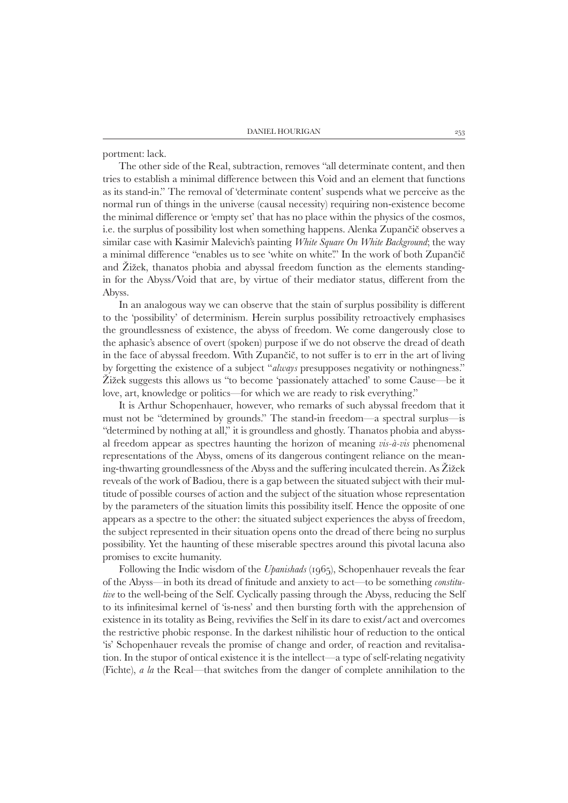portment: lack.

The other side of the Real, subtraction, removes "all determinate content, and then tries to establish a minimal difference between this Void and an element that functions as its stand-in." The removal of 'determinate content' suspends what we perceive as the normal run of things in the universe (causal necessity) requiring non-existence become the minimal difference or 'empty set' that has no place within the physics of the cosmos, i.e. the surplus of possibility lost when something happens. Alenka Zupančič observes a similar case with Kasimir Malevich's painting *White Square On White Background*; the way a minimal difference "enables us to see 'white on white'." In the work of both Zupančič and Žižek, thanatos phobia and abyssal freedom function as the elements standingin for the Abyss/Void that are, by virtue of their mediator status, different from the Abyss.

In an analogous way we can observe that the stain of surplus possibility is different to the 'possibility' of determinism. Herein surplus possibility retroactively emphasises the groundlessness of existence, the abyss of freedom. We come dangerously close to the aphasic's absence of overt (spoken) purpose if we do not observe the dread of death in the face of abyssal freedom. With Zupančič, to not suffer is to err in the art of living by forgetting the existence of a subject "*always* presupposes negativity or nothingness." Žižek suggests this allows us "to become 'passionately attached' to some Cause—be it love, art, knowledge or politics—for which we are ready to risk everything."

It is Arthur Schopenhauer, however, who remarks of such abyssal freedom that it must not be "determined by grounds." The stand-in freedom—a spectral surplus—is "determined by nothing at all," it is groundless and ghostly. Thanatos phobia and abyssal freedom appear as spectres haunting the horizon of meaning *vis-à-vis* phenomenal representations of the Abyss, omens of its dangerous contingent reliance on the meaning-thwarting groundlessness of the Abyss and the suffering inculcated therein. As Žižek reveals of the work of Badiou, there is a gap between the situated subject with their multitude of possible courses of action and the subject of the situation whose representation by the parameters of the situation limits this possibility itself. Hence the opposite of one appears as a spectre to the other: the situated subject experiences the abyss of freedom, the subject represented in their situation opens onto the dread of there being no surplus possibility. Yet the haunting of these miserable spectres around this pivotal lacuna also promises to excite humanity.

Following the Indic wisdom of the *Upanishads* (1965), Schopenhauer reveals the fear of the Abyss—in both its dread of finitude and anxiety to act—to be something *constitutive* to the well-being of the Self. Cyclically passing through the Abyss, reducing the Self to its infinitesimal kernel of 'is-ness' and then bursting forth with the apprehension of existence in its totality as Being, revivifies the Self in its dare to exist/act and overcomes the restrictive phobic response. In the darkest nihilistic hour of reduction to the ontical 'is' Schopenhauer reveals the promise of change and order, of reaction and revitalisation. In the stupor of ontical existence it is the intellect—a type of self-relating negativity (Fichte), *a la* the Real—that switches from the danger of complete annihilation to the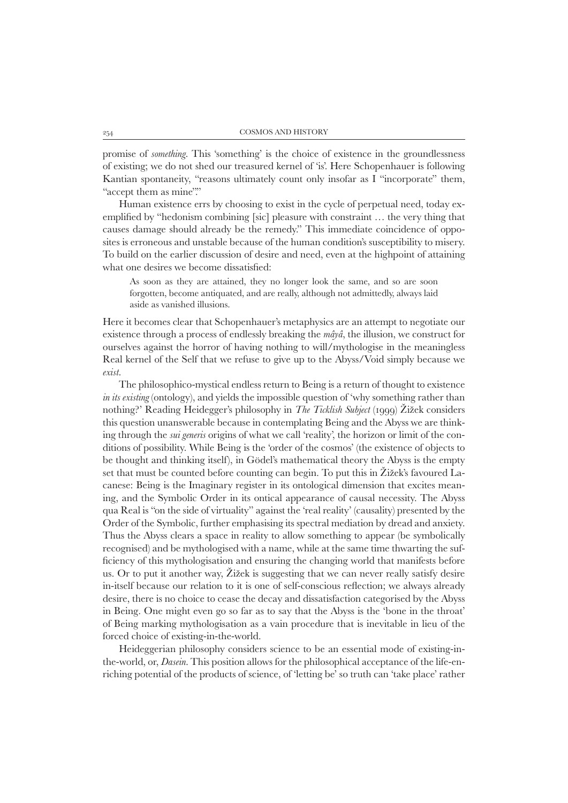promise of *something*. This 'something' is the choice of existence in the groundlessness of existing; we do not shed our treasured kernel of 'is'. Here Schopenhauer is following Kantian spontaneity, "reasons ultimately count only insofar as I "incorporate" them, "accept them as mine"."

Human existence errs by choosing to exist in the cycle of perpetual need, today exemplified by "hedonism combining [sic] pleasure with constraint … the very thing that causes damage should already be the remedy." This immediate coincidence of opposites is erroneous and unstable because of the human condition's susceptibility to misery. To build on the earlier discussion of desire and need, even at the highpoint of attaining what one desires we become dissatisfied:

As soon as they are attained, they no longer look the same, and so are soon forgotten, become antiquated, and are really, although not admittedly, always laid aside as vanished illusions.

Here it becomes clear that Schopenhauer's metaphysics are an attempt to negotiate our existence through a process of endlessly breaking the *mâyâ*, the illusion, we construct for ourselves against the horror of having nothing to will/mythologise in the meaningless Real kernel of the Self that we refuse to give up to the Abyss/Void simply because we *exist*.

The philosophico-mystical endless return to Being is a return of thought to existence *in its existing* (ontology), and yields the impossible question of 'why something rather than nothing?' Reading Heidegger's philosophy in *The Ticklish Subject* (1999) Žižek considers this question unanswerable because in contemplating Being and the Abyss we are thinking through the *sui generis* origins of what we call 'reality', the horizon or limit of the conditions of possibility. While Being is the 'order of the cosmos' (the existence of objects to be thought and thinking itself), in Gödel's mathematical theory the Abyss is the empty set that must be counted before counting can begin. To put this in Žižek's favoured Lacanese: Being is the Imaginary register in its ontological dimension that excites meaning, and the Symbolic Order in its ontical appearance of causal necessity. The Abyss qua Real is "on the side of virtuality" against the 'real reality' (causality) presented by the Order of the Symbolic, further emphasising its spectral mediation by dread and anxiety. Thus the Abyss clears a space in reality to allow something to appear (be symbolically recognised) and be mythologised with a name, while at the same time thwarting the sufficiency of this mythologisation and ensuring the changing world that manifests before us. Or to put it another way, Žižek is suggesting that we can never really satisfy desire in-itself because our relation to it is one of self-conscious reflection; we always already desire, there is no choice to cease the decay and dissatisfaction categorised by the Abyss in Being. One might even go so far as to say that the Abyss is the 'bone in the throat' of Being marking mythologisation as a vain procedure that is inevitable in lieu of the forced choice of existing-in-the-world.

Heideggerian philosophy considers science to be an essential mode of existing-inthe-world, or, *Dasein*. This position allows for the philosophical acceptance of the life-enriching potential of the products of science, of 'letting be' so truth can 'take place' rather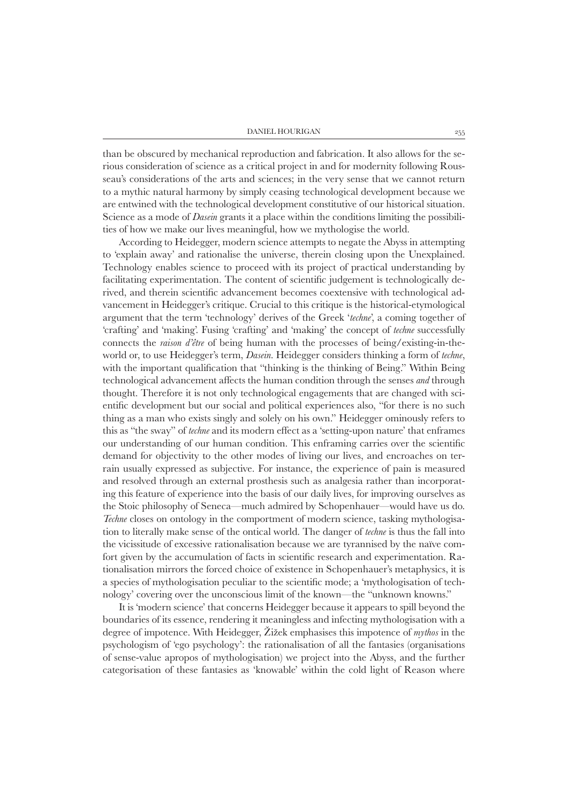than be obscured by mechanical reproduction and fabrication. It also allows for the serious consideration of science as a critical project in and for modernity following Rousseau's considerations of the arts and sciences; in the very sense that we cannot return to a mythic natural harmony by simply ceasing technological development because we are entwined with the technological development constitutive of our historical situation. Science as a mode of *Dasein* grants it a place within the conditions limiting the possibilities of how we make our lives meaningful, how we mythologise the world.

According to Heidegger, modern science attempts to negate the Abyss in attempting to 'explain away' and rationalise the universe, therein closing upon the Unexplained. Technology enables science to proceed with its project of practical understanding by facilitating experimentation. The content of scientific judgement is technologically derived, and therein scientific advancement becomes coextensive with technological advancement in Heidegger's critique. Crucial to this critique is the historical-etymological argument that the term 'technology' derives of the Greek '*techne*', a coming together of 'crafting' and 'making'. Fusing 'crafting' and 'making' the concept of *techne* successfully connects the *raison d'être* of being human with the processes of being/existing-in-theworld or, to use Heidegger's term, *Dasein*. Heidegger considers thinking a form of *techne*, with the important qualification that "thinking is the thinking of Being." Within Being technological advancement affects the human condition through the senses *and* through thought. Therefore it is not only technological engagements that are changed with scientific development but our social and political experiences also, "for there is no such thing as a man who exists singly and solely on his own." Heidegger ominously refers to this as "the sway" of *techne* and its modern effect as a 'setting-upon nature' that enframes our understanding of our human condition. This enframing carries over the scientific demand for objectivity to the other modes of living our lives, and encroaches on terrain usually expressed as subjective. For instance, the experience of pain is measured and resolved through an external prosthesis such as analgesia rather than incorporating this feature of experience into the basis of our daily lives, for improving ourselves as the Stoic philosophy of Seneca—much admired by Schopenhauer—would have us do. *Techne* closes on ontology in the comportment of modern science, tasking mythologisation to literally make sense of the ontical world. The danger of *techne* is thus the fall into the vicissitude of excessive rationalisation because we are tyrannised by the naïve comfort given by the accumulation of facts in scientific research and experimentation. Rationalisation mirrors the forced choice of existence in Schopenhauer's metaphysics, it is a species of mythologisation peculiar to the scientific mode; a 'mythologisation of technology' covering over the unconscious limit of the known—the "unknown knowns."

It is 'modern science' that concerns Heidegger because it appears to spill beyond the boundaries of its essence, rendering it meaningless and infecting mythologisation with a degree of impotence. With Heidegger, Žižek emphasises this impotence of *mythos* in the psychologism of 'ego psychology': the rationalisation of all the fantasies (organisations of sense-value apropos of mythologisation) we project into the Abyss, and the further categorisation of these fantasies as 'knowable' within the cold light of Reason where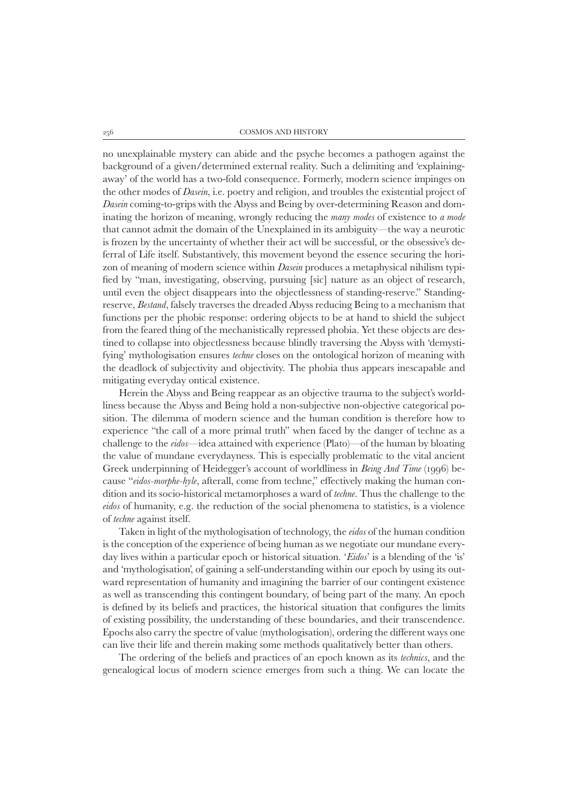no unexplainable mystery can abide and the psyche becomes a pathogen against the background of a given/determined external reality. Such a delimiting and 'explainingaway' of the world has a two-fold consequence. Formerly, modern science impinges on the other modes of *Dasein*, i.e. poetry and religion, and troubles the existential project of *Dasein* coming-to-grips with the Abyss and Being by over-determining Reason and dominating the horizon of meaning, wrongly reducing the *many modes* of existence to *a mode* that cannot admit the domain of the Unexplained in its ambiguity—the way a neurotic is frozen by the uncertainty of whether their act will be successful, or the obsessive's deferral of Life itself. Substantively, this movement beyond the essence securing the horizon of meaning of modern science within *Dasein* produces a metaphysical nihilism typified by "man, investigating, observing, pursuing [sic] nature as an object of research, until even the object disappears into the objectlessness of standing-reserve." Standingreserve, *Bestand*, falsely traverses the dreaded Abyss reducing Being to a mechanism that functions per the phobic response: ordering objects to be at hand to shield the subject from the feared thing of the mechanistically repressed phobia. Yet these objects are destined to collapse into objectlessness because blindly traversing the Abyss with 'demystifying' mythologisation ensures *techne* closes on the ontological horizon of meaning with the deadlock of subjectivity and objectivity. The phobia thus appears inescapable and mitigating everyday ontical existence.

Herein the Abyss and Being reappear as an objective trauma to the subject's worldliness because the Abyss and Being hold a non-subjective non-objective categorical position. The dilemma of modern science and the human condition is therefore how to experience "the call of a more primal truth" when faced by the danger of techne as a challenge to the *eidos*—idea attained with experience (Plato)—of the human by bloating the value of mundane everydayness. This is especially problematic to the vital ancient Greek underpinning of Heidegger's account of worldliness in *Being And Time* (1996) because "*eidos-morphe-hyle*, afterall, come from techne," effectively making the human condition and its socio-historical metamorphoses a ward of *techne*. Thus the challenge to the *eidos* of humanity, e.g. the reduction of the social phenomena to statistics, is a violence of *techne* against itself.

Taken in light of the mythologisation of technology, the *eidos* of the human condition is the conception of the experience of being human as we negotiate our mundane everyday lives within a particular epoch or historical situation. '*Eidos*' is a blending of the 'is' and 'mythologisation', of gaining a self-understanding within our epoch by using its outward representation of humanity and imagining the barrier of our contingent existence as well as transcending this contingent boundary, of being part of the many. An epoch is defined by its beliefs and practices, the historical situation that configures the limits of existing possibility, the understanding of these boundaries, and their transcendence. Epochs also carry the spectre of value (mythologisation), ordering the different ways one can live their life and therein making some methods qualitatively better than others.

The ordering of the beliefs and practices of an epoch known as its *technics*, and the genealogical locus of modern science emerges from such a thing. We can locate the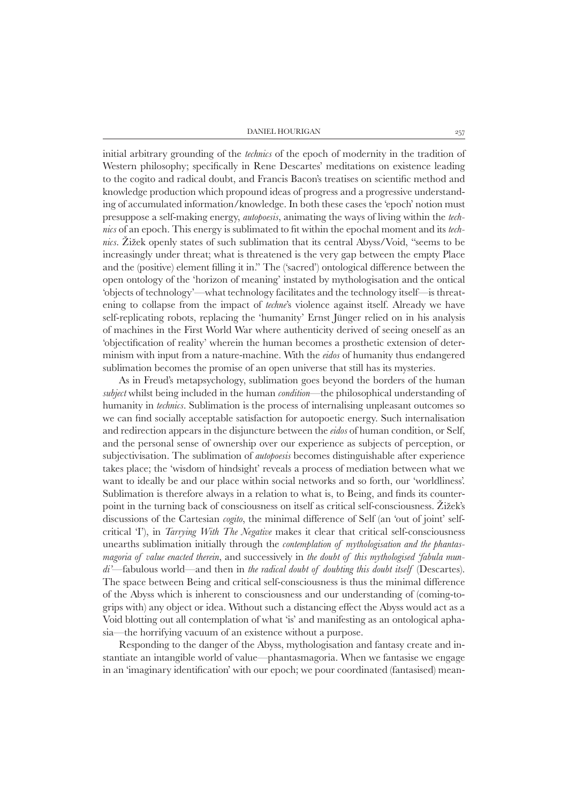#### Daniel Hourigan 257

initial arbitrary grounding of the *technics* of the epoch of modernity in the tradition of Western philosophy; specifically in Rene Descartes' meditations on existence leading to the cogito and radical doubt, and Francis Bacon's treatises on scientific method and knowledge production which propound ideas of progress and a progressive understanding of accumulated information/knowledge. In both these cases the 'epoch' notion must presuppose a self-making energy, *autopoesis*, animating the ways of living within the *technics* of an epoch. This energy is sublimated to fit within the epochal moment and its *technics*. Žižek openly states of such sublimation that its central Abyss/Void, "seems to be increasingly under threat; what is threatened is the very gap between the empty Place and the (positive) element filling it in." The ('sacred') ontological difference between the open ontology of the 'horizon of meaning' instated by mythologisation and the ontical 'objects of technology'—what technology facilitates and the technology itself—is threatening to collapse from the impact of *techne*'s violence against itself. Already we have self-replicating robots, replacing the 'humanity' Ernst Jünger relied on in his analysis of machines in the First World War where authenticity derived of seeing oneself as an 'objectification of reality' wherein the human becomes a prosthetic extension of determinism with input from a nature-machine. With the *eidos* of humanity thus endangered sublimation becomes the promise of an open universe that still has its mysteries.

As in Freud's metapsychology, sublimation goes beyond the borders of the human *subject* whilst being included in the human *condition*—the philosophical understanding of humanity in *technics*. Sublimation is the process of internalising unpleasant outcomes so we can find socially acceptable satisfaction for autopoetic energy. Such internalisation and redirection appears in the disjuncture between the *eidos* of human condition, or Self, and the personal sense of ownership over our experience as subjects of perception, or subjectivisation. The sublimation of *autopoesis* becomes distinguishable after experience takes place; the 'wisdom of hindsight' reveals a process of mediation between what we want to ideally be and our place within social networks and so forth, our 'worldliness'. Sublimation is therefore always in a relation to what is, to Being, and finds its counterpoint in the turning back of consciousness on itself as critical self-consciousness. Žižek's discussions of the Cartesian *cogito*, the minimal difference of Self (an 'out of joint' selfcritical 'I'), in *Tarrying With The Negative* makes it clear that critical self-consciousness unearths sublimation initially through the *contemplation of mythologisation and the phantasmagoria of value enacted therein*, and successively in *the doubt of this mythologised 'fabula mundi'*—fabulous world—and then in *the radical doubt of doubting this doubt itself* (Descartes). The space between Being and critical self-consciousness is thus the minimal difference of the Abyss which is inherent to consciousness and our understanding of (coming-togrips with) any object or idea. Without such a distancing effect the Abyss would act as a Void blotting out all contemplation of what 'is' and manifesting as an ontological aphasia—the horrifying vacuum of an existence without a purpose.

Responding to the danger of the Abyss, mythologisation and fantasy create and instantiate an intangible world of value—phantasmagoria. When we fantasise we engage in an 'imaginary identification' with our epoch; we pour coordinated (fantasised) mean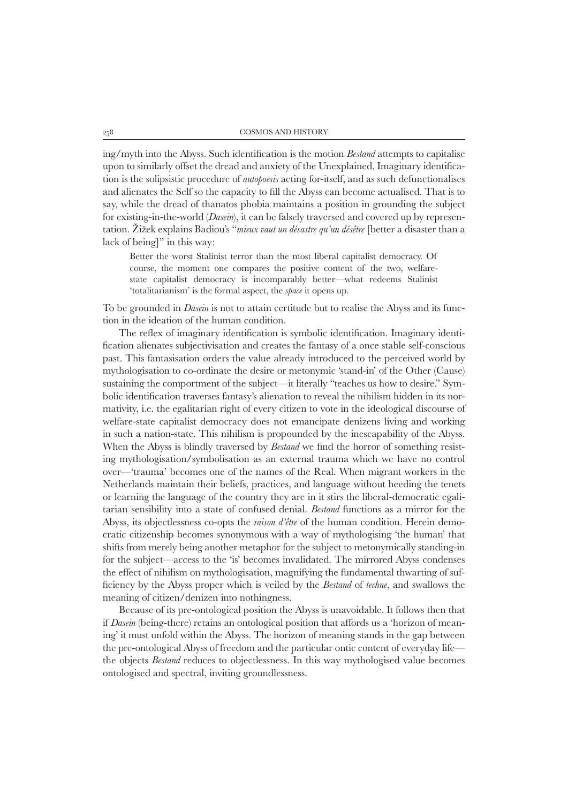ing/myth into the Abyss. Such identification is the motion *Bestand* attempts to capitalise upon to similarly offset the dread and anxiety of the Unexplained. Imaginary identification is the solipsistic procedure of *autopoesis* acting for-itself, and as such defunctionalises and alienates the Self so the capacity to fill the Abyss can become actualised. That is to say, while the dread of thanatos phobia maintains a position in grounding the subject for existing-in-the-world (*Dasein*), it can be falsely traversed and covered up by representation. Žižek explains Badiou's "*mieux vaut un désastre qu'un désêtre* [better a disaster than a lack of being]" in this way:

Better the worst Stalinist terror than the most liberal capitalist democracy. Of course, the moment one compares the positive content of the two, welfarestate capitalist democracy is incomparably better—what redeems Stalinist 'totalitarianism' is the formal aspect, the *space* it opens up.

To be grounded in *Dasein* is not to attain certitude but to realise the Abyss and its function in the ideation of the human condition.

The reflex of imaginary identification is symbolic identification. Imaginary identification alienates subjectivisation and creates the fantasy of a once stable self-conscious past. This fantasisation orders the value already introduced to the perceived world by mythologisation to co-ordinate the desire or metonymic 'stand-in' of the Other (Cause) sustaining the comportment of the subject—it literally "teaches us how to desire." Symbolic identification traverses fantasy's alienation to reveal the nihilism hidden in its normativity, i.e. the egalitarian right of every citizen to vote in the ideological discourse of welfare-state capitalist democracy does not emancipate denizens living and working in such a nation-state. This nihilism is propounded by the inescapability of the Abyss. When the Abyss is blindly traversed by *Bestand* we find the horror of something resisting mythologisation/symbolisation as an external trauma which we have no control over—'trauma' becomes one of the names of the Real. When migrant workers in the Netherlands maintain their beliefs, practices, and language without heeding the tenets or learning the language of the country they are in it stirs the liberal-democratic egalitarian sensibility into a state of confused denial. *Bestand* functions as a mirror for the Abyss, its objectlessness co-opts the *raison d'être* of the human condition. Herein democratic citizenship becomes synonymous with a way of mythologising 'the human' that shifts from merely being another metaphor for the subject to metonymically standing-in for the subject—access to the 'is' becomes invalidated. The mirrored Abyss condenses the effect of nihilism on mythologisation, magnifying the fundamental thwarting of sufficiency by the Abyss proper which is veiled by the *Bestand* of *techne*, and swallows the meaning of citizen/denizen into nothingness.

Because of its pre-ontological position the Abyss is unavoidable. It follows then that if *Dasein* (being-there) retains an ontological position that affords us a 'horizon of meaning' it must unfold within the Abyss. The horizon of meaning stands in the gap between the pre-ontological Abyss of freedom and the particular ontic content of everyday life the objects *Bestand* reduces to objectlessness. In this way mythologised value becomes ontologised and spectral, inviting groundlessness.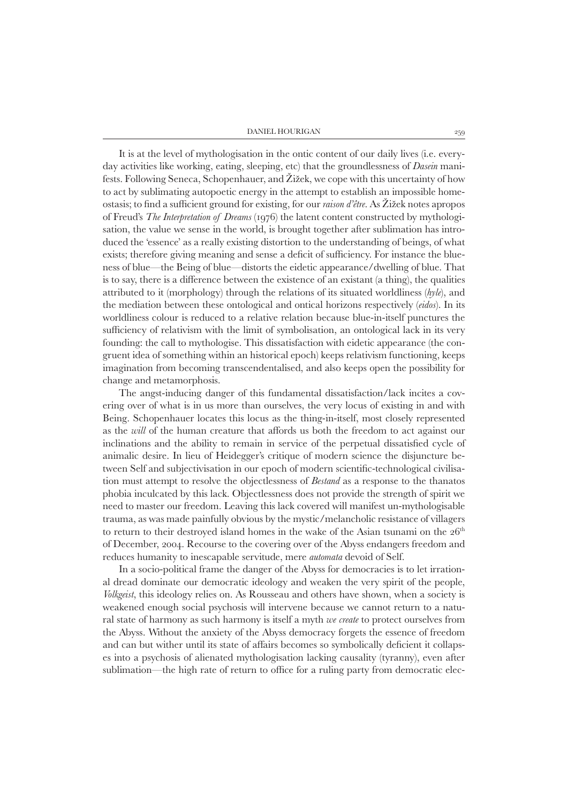Daniel Hourigan 259

It is at the level of mythologisation in the ontic content of our daily lives (i.e. everyday activities like working, eating, sleeping, etc) that the groundlessness of *Dasein* manifests. Following Seneca, Schopenhauer, and Žižek, we cope with this uncertainty of how to act by sublimating autopoetic energy in the attempt to establish an impossible homeostasis; to find a sufficient ground for existing, for our *raison d'être*. As Žižek notes apropos of Freud's *The Interpretation of Dreams* (1976) the latent content constructed by mythologisation, the value we sense in the world, is brought together after sublimation has introduced the 'essence' as a really existing distortion to the understanding of beings, of what exists; therefore giving meaning and sense a deficit of sufficiency. For instance the blueness of blue—the Being of blue—distorts the eidetic appearance/dwelling of blue. That is to say, there is a difference between the existence of an existant (a thing), the qualities attributed to it (morphology) through the relations of its situated worldliness (*hyle*), and the mediation between these ontological and ontical horizons respectively (*eidos*). In its worldliness colour is reduced to a relative relation because blue-in-itself punctures the sufficiency of relativism with the limit of symbolisation, an ontological lack in its very founding: the call to mythologise. This dissatisfaction with eidetic appearance (the congruent idea of something within an historical epoch) keeps relativism functioning, keeps imagination from becoming transcendentalised, and also keeps open the possibility for change and metamorphosis.

The angst-inducing danger of this fundamental dissatisfaction/lack incites a covering over of what is in us more than ourselves, the very locus of existing in and with Being. Schopenhauer locates this locus as the thing-in-itself, most closely represented as the *will* of the human creature that affords us both the freedom to act against our inclinations and the ability to remain in service of the perpetual dissatisfied cycle of animalic desire. In lieu of Heidegger's critique of modern science the disjuncture between Self and subjectivisation in our epoch of modern scientific-technological civilisation must attempt to resolve the objectlessness of *Bestand* as a response to the thanatos phobia inculcated by this lack. Objectlessness does not provide the strength of spirit we need to master our freedom. Leaving this lack covered will manifest un-mythologisable trauma, as was made painfully obvious by the mystic/melancholic resistance of villagers to return to their destroyed island homes in the wake of the Asian tsunami on the  $26<sup>th</sup>$ of December, 2004. Recourse to the covering over of the Abyss endangers freedom and reduces humanity to inescapable servitude, mere *automata* devoid of Self.

In a socio-political frame the danger of the Abyss for democracies is to let irrational dread dominate our democratic ideology and weaken the very spirit of the people, *Volkgeist*, this ideology relies on. As Rousseau and others have shown, when a society is weakened enough social psychosis will intervene because we cannot return to a natural state of harmony as such harmony is itself a myth *we create* to protect ourselves from the Abyss. Without the anxiety of the Abyss democracy forgets the essence of freedom and can but wither until its state of affairs becomes so symbolically deficient it collapses into a psychosis of alienated mythologisation lacking causality (tyranny), even after sublimation—the high rate of return to office for a ruling party from democratic elec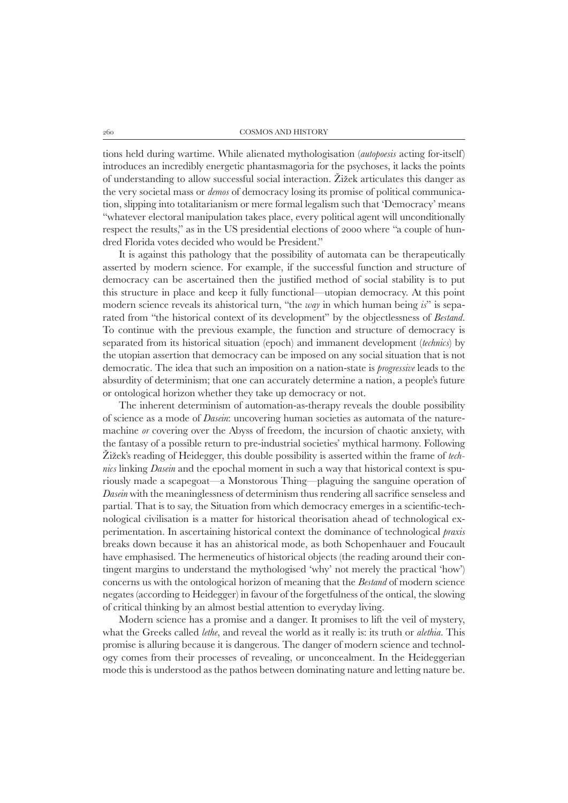tions held during wartime. While alienated mythologisation (*autopoesis* acting for-itself) introduces an incredibly energetic phantasmagoria for the psychoses, it lacks the points of understanding to allow successful social interaction. Žižek articulates this danger as the very societal mass or *demos* of democracy losing its promise of political communication, slipping into totalitarianism or mere formal legalism such that 'Democracy' means "whatever electoral manipulation takes place, every political agent will unconditionally respect the results," as in the US presidential elections of 2000 where "a couple of hundred Florida votes decided who would be President."

It is against this pathology that the possibility of automata can be therapeutically asserted by modern science. For example, if the successful function and structure of democracy can be ascertained then the justified method of social stability is to put this structure in place and keep it fully functional—utopian democracy. At this point modern science reveals its ahistorical turn, "the *way* in which human being *is*" is separated from "the historical context of its development" by the objectlessness of *Bestand*. To continue with the previous example, the function and structure of democracy is separated from its historical situation (epoch) and immanent development (*technics*) by the utopian assertion that democracy can be imposed on any social situation that is not democratic. The idea that such an imposition on a nation-state is *progressive* leads to the absurdity of determinism; that one can accurately determine a nation, a people's future or ontological horizon whether they take up democracy or not.

The inherent determinism of automation-as-therapy reveals the double possibility of science as a mode of *Dasein*: uncovering human societies as automata of the naturemachine *or* covering over the Abyss of freedom, the incursion of chaotic anxiety, with the fantasy of a possible return to pre-industrial societies' mythical harmony. Following Žižek's reading of Heidegger, this double possibility is asserted within the frame of *technics* linking *Dasein* and the epochal moment in such a way that historical context is spuriously made a scapegoat—a Monstorous Thing—plaguing the sanguine operation of *Dasein* with the meaninglessness of determinism thus rendering all sacrifice senseless and partial. That is to say, the Situation from which democracy emerges in a scientific-technological civilisation is a matter for historical theorisation ahead of technological experimentation. In ascertaining historical context the dominance of technological *praxis* breaks down because it has an ahistorical mode, as both Schopenhauer and Foucault have emphasised. The hermeneutics of historical objects (the reading around their contingent margins to understand the mythologised 'why' not merely the practical 'how') concerns us with the ontological horizon of meaning that the *Bestand* of modern science negates (according to Heidegger) in favour of the forgetfulness of the ontical, the slowing of critical thinking by an almost bestial attention to everyday living.

Modern science has a promise and a danger. It promises to lift the veil of mystery, what the Greeks called *lethe*, and reveal the world as it really is: its truth or *alethia*. This promise is alluring because it is dangerous. The danger of modern science and technology comes from their processes of revealing, or unconcealment. In the Heideggerian mode this is understood as the pathos between dominating nature and letting nature be.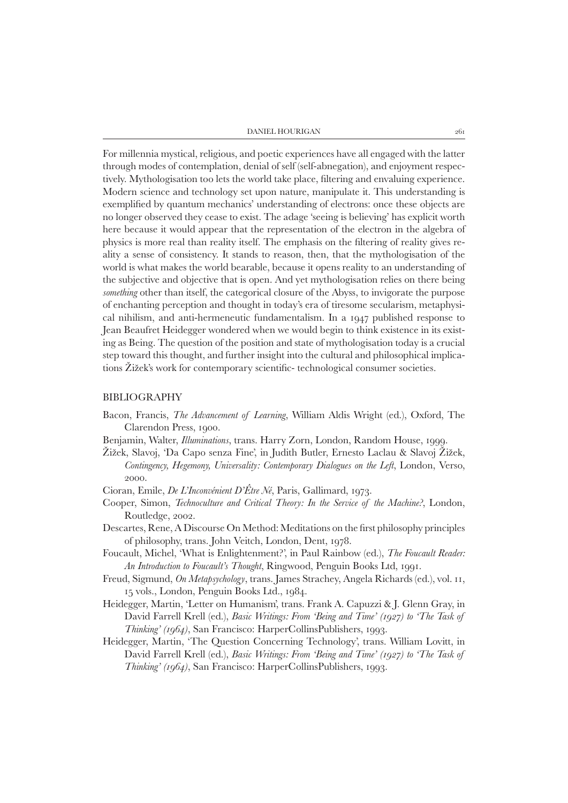| DANIEL HOURIGAN |  |
|-----------------|--|
|-----------------|--|

For millennia mystical, religious, and poetic experiences have all engaged with the latter through modes of contemplation, denial of self (self-abnegation), and enjoyment respectively. Mythologisation too lets the world take place, filtering and envaluing experience. Modern science and technology set upon nature, manipulate it. This understanding is exemplified by quantum mechanics' understanding of electrons: once these objects are no longer observed they cease to exist. The adage 'seeing is believing' has explicit worth here because it would appear that the representation of the electron in the algebra of physics is more real than reality itself. The emphasis on the filtering of reality gives reality a sense of consistency. It stands to reason, then, that the mythologisation of the world is what makes the world bearable, because it opens reality to an understanding of the subjective and objective that is open. And yet mythologisation relies on there being *something* other than itself, the categorical closure of the Abyss, to invigorate the purpose of enchanting perception and thought in today's era of tiresome secularism, metaphysical nihilism, and anti-hermeneutic fundamentalism. In a 1947 published response to Jean Beaufret Heidegger wondered when we would begin to think existence in its existing as Being. The question of the position and state of mythologisation today is a crucial step toward this thought, and further insight into the cultural and philosophical implications Žižek's work for contemporary scientific- technological consumer societies.

### BIBLIOGRAPHY

- Bacon, Francis, *The Advancement of Learning*, William Aldis Wright (ed.), Oxford, The Clarendon Press, 1900.
- Benjamin, Walter, *Illuminations*, trans. Harry Zorn, London, Random House, 1999.
- Žižek, Slavoj, 'Da Capo senza Fine', in Judith Butler, Ernesto Laclau & Slavoj Žižek, *Contingency, Hegemony, Universality: Contemporary Dialogues on the Left*, London, Verso, 2000.
- Cioran, Emile, *De L'Inconvénient D'Être Né*, Paris, Gallimard, 1973.
- Cooper, Simon, *Technoculture and Critical Theory: In the Service of the Machine?*, London, Routledge, 2002.
- Descartes, Rene, A Discourse On Method: Meditations on the first philosophy principles of philosophy, trans. John Veitch, London, Dent, 1978.
- Foucault, Michel, 'What is Enlightenment?', in Paul Rainbow (ed.), *The Foucault Reader: An Introduction to Foucault's Thought*, Ringwood, Penguin Books Ltd, 1991.
- Freud, Sigmund, *On Metapsychology*, trans. James Strachey, Angela Richards (ed.), vol. 11, 15 vols., London, Penguin Books Ltd., 1984.
- Heidegger, Martin, 'Letter on Humanism', trans. Frank A. Capuzzi & J. Glenn Gray, in David Farrell Krell (ed.), *Basic Writings: From 'Being and Time' (1927) to 'The Task of Thinking' (1964)*, San Francisco: HarperCollinsPublishers, 1993.
- Heidegger, Martin, 'The Question Concerning Technology', trans. William Lovitt, in David Farrell Krell (ed.), *Basic Writings: From 'Being and Time' (1927) to 'The Task of Thinking' (1964)*, San Francisco: HarperCollinsPublishers, 1993.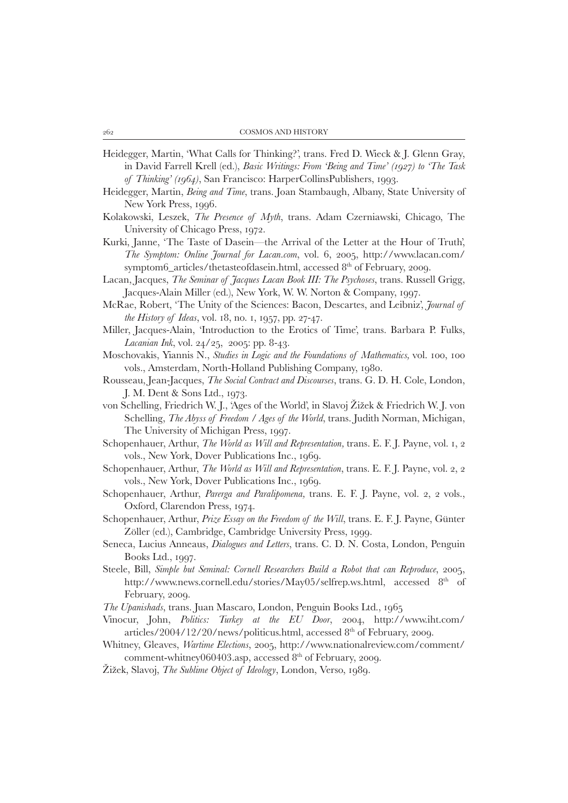- Heidegger, Martin, 'What Calls for Thinking?', trans. Fred D. Wieck & J. Glenn Gray, in David Farrell Krell (ed.), *Basic Writings: From 'Being and Time' (1927) to 'The Task of Thinking' (1964)*, San Francisco: HarperCollinsPublishers, 1993.
- Heidegger, Martin, *Being and Time*, trans. Joan Stambaugh, Albany, State University of New York Press, 1996.
- Kolakowski, Leszek, *The Presence of Myth*, trans. Adam Czerniawski, Chicago, The University of Chicago Press, 1972.
- Kurki, Janne, 'The Taste of Dasein—the Arrival of the Letter at the Hour of Truth', *The Symptom: Online Journal for Lacan.com*, vol. 6, 2005, http://www.lacan.com/ symptom6\_articles/thetasteofdasein.html, accessed 8<sup>th</sup> of February, 2009.
- Lacan, Jacques, *The Seminar of Jacques Lacan Book III: The Psychoses*, trans. Russell Grigg, Jacques-Alain Miller (ed.), New York, W. W. Norton & Company, 1997.
- McRae, Robert, 'The Unity of the Sciences: Bacon, Descartes, and Leibniz', *Journal of the History of Ideas*, vol. 18, no. 1, 1957, pp. 27-47.
- Miller, Jacques-Alain, 'Introduction to the Erotics of Time', trans. Barbara P. Fulks, *Lacanian Ink*, vol. 24/25, 2005: pp. 8-43.
- Moschovakis, Yiannis N., *Studies in Logic and the Foundations of Mathematics,* vol. 100, 100 vols., Amsterdam, North-Holland Publishing Company, 1980.
- Rousseau, Jean-Jacques, *The Social Contract and Discourses*, trans. G. D. H. Cole, London, J. M. Dent & Sons Ltd., 1973.
- von Schelling, Friedrich W. J., 'Ages of the World', in Slavoj Žižek & Friedrich W. J. von Schelling, *The Abyss of Freedom / Ages of the World*, trans. Judith Norman, Michigan, The University of Michigan Press, 1997.
- Schopenhauer, Arthur, *The World as Will and Representation,* trans. E. F. J. Payne, vol. 1, 2 vols., New York, Dover Publications Inc., 1969.
- Schopenhauer, Arthur, *The World as Will and Representation*, trans. E. F. J. Payne, vol. 2, 2 vols., New York, Dover Publications Inc., 1969.
- Schopenhauer, Arthur, *Parerga and Paralipomena,* trans. E. F. J. Payne, vol. 2, 2 vols., Oxford, Clarendon Press, 1974.
- Schopenhauer, Arthur, *Prize Essay on the Freedom of the Will*, trans. E. F. J. Payne, Günter Zöller (ed.), Cambridge, Cambridge University Press, 1999.
- Seneca, Lucius Anneaus, *Dialogues and Letters*, trans. C. D. N. Costa, London, Penguin Books Ltd., 1997.
- Steele, Bill, *Simple but Seminal: Cornell Researchers Build a Robot that can Reproduce*, 2005, http://www.news.cornell.edu/stories/May05/selfrep.ws.html, accessed 8<sup>th</sup> of February, 2009.
- *The Upanishads*, trans. Juan Mascaro, London, Penguin Books Ltd., 1965
- Vinocur, John, *Politics: Turkey at the EU Door*, 2004, http://www.iht.com/ articles/2004/12/20/news/politicus.html, accessed  $8<sup>th</sup>$  of February, 2009.
- Whitney, Gleaves, *Wartime Elections*, 2005, http://www.nationalreview.com/comment/ comment-whitney060403.asp, accessed 8<sup>th</sup> of February, 2009.
- Žižek, Slavoj, *The Sublime Object of Ideology*, London, Verso, 1989.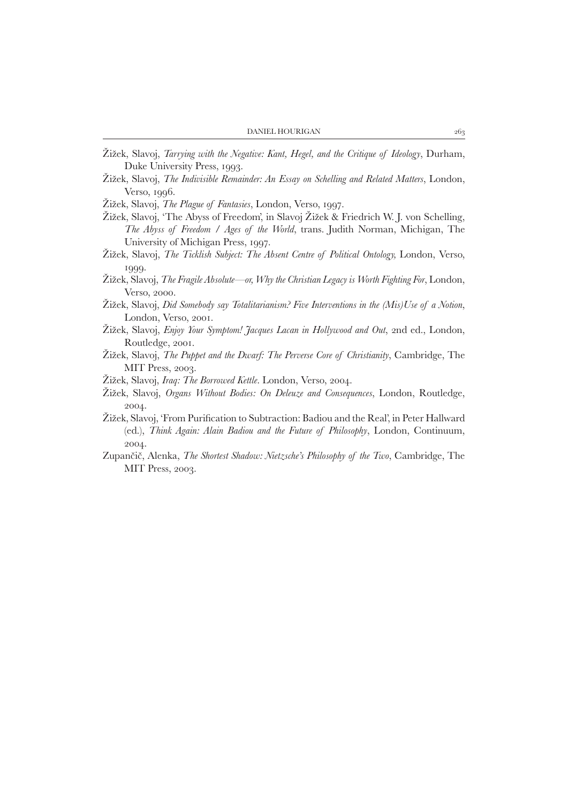- Žižek, Slavoj, *Tarrying with the Negative: Kant, Hegel, and the Critique of Ideology*, Durham, Duke University Press, 1993.
- Žižek, Slavoj, *The Indivisible Remainder: An Essay on Schelling and Related Matters*, London, Verso, 1996.
- Žižek, Slavoj, *The Plague of Fantasies*, London, Verso, 1997.
- Žižek, Slavoj, 'The Abyss of Freedom', in Slavoj Žižek & Friedrich W. J. von Schelling, *The Abyss of Freedom / Ages of the World*, trans. Judith Norman, Michigan, The University of Michigan Press, 1997.
- Žižek, Slavoj, *The Ticklish Subject: The Absent Centre of Political Ontology,* London, Verso, 1999.
- Žižek, Slavoj, *The Fragile Absolute—or, Why the Christian Legacy is Worth Fighting For*, London, Verso, 2000.
- Žižek, Slavoj, *Did Somebody say Totalitarianism? Five Interventions in the (Mis)Use of a Notion*, London, Verso, 2001.
- Žižek, Slavoj, *Enjoy Your Symptom! Jacques Lacan in Hollywood and Out*, 2nd ed., London, Routledge, 2001.
- Žižek, Slavoj, *The Puppet and the Dwarf: The Perverse Core of Christianity*, Cambridge, The MIT Press, 2003.
- Žižek, Slavoj, *Iraq: The Borrowed Kettle*. London, Verso, 2004.
- Žižek, Slavoj, *Organs Without Bodies: On Deleuze and Consequences*, London, Routledge, 2004.
- Žižek, Slavoj, 'From Purification to Subtraction: Badiou and the Real', in Peter Hallward (ed.), *Think Again: Alain Badiou and the Future of Philosophy*, London, Continuum, 2004.
- Zupančič, Alenka, *The Shortest Shadow: Nietzsche's Philosophy of the Two*, Cambridge, The MIT Press, 2003.